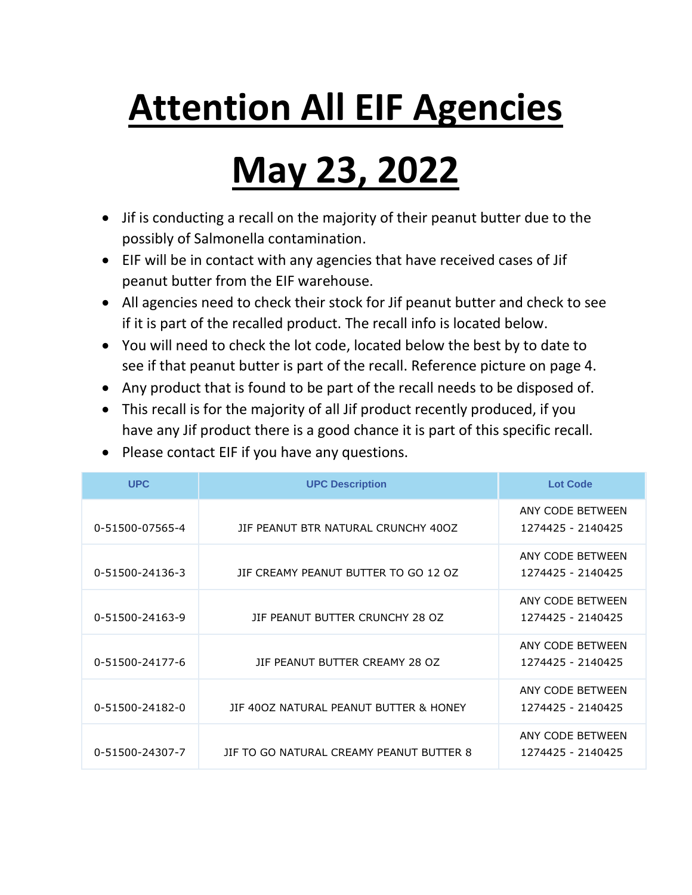## **Attention All EIF Agencies**

## **May 23, 2022**

- Jif is conducting a recall on the majority of their peanut butter due to the possibly of Salmonella contamination.
- EIF will be in contact with any agencies that have received cases of Jif peanut butter from the EIF warehouse.
- All agencies need to check their stock for Jif peanut butter and check to see if it is part of the recalled product. The recall info is located below.
- You will need to check the lot code, located below the best by to date to see if that peanut butter is part of the recall. Reference picture on page 4.
- Any product that is found to be part of the recall needs to be disposed of.
- This recall is for the majority of all Jif product recently produced, if you have any Jif product there is a good chance it is part of this specific recall.
- Please contact EIF if you have any questions.

| <b>UPC</b>      | <b>UPC Description</b>                   | <b>Lot Code</b>                       |
|-----------------|------------------------------------------|---------------------------------------|
| 0-51500-07565-4 | JIF PEANUT BTR NATURAL CRUNCHY 400Z      | ANY CODE BETWEEN<br>1274425 - 2140425 |
| 0-51500-24136-3 | JIF CREAMY PEANUT BUTTER TO GO 12 OZ     | ANY CODE BETWEEN<br>1274425 - 2140425 |
| 0-51500-24163-9 | JIF PEANUT BUTTER CRUNCHY 28 OZ          | ANY CODE BETWEEN<br>1274425 - 2140425 |
| 0-51500-24177-6 | JIF PEANUT BUTTER CREAMY 28 OZ           | ANY CODE BETWEEN<br>1274425 - 2140425 |
| 0-51500-24182-0 | JIF 400Z NATURAL PEANUT BUTTER & HONEY   | ANY CODE BETWEEN<br>1274425 - 2140425 |
| 0-51500-24307-7 | JIF TO GO NATURAL CREAMY PEANUT BUTTER 8 | ANY CODE BETWEEN<br>1274425 - 2140425 |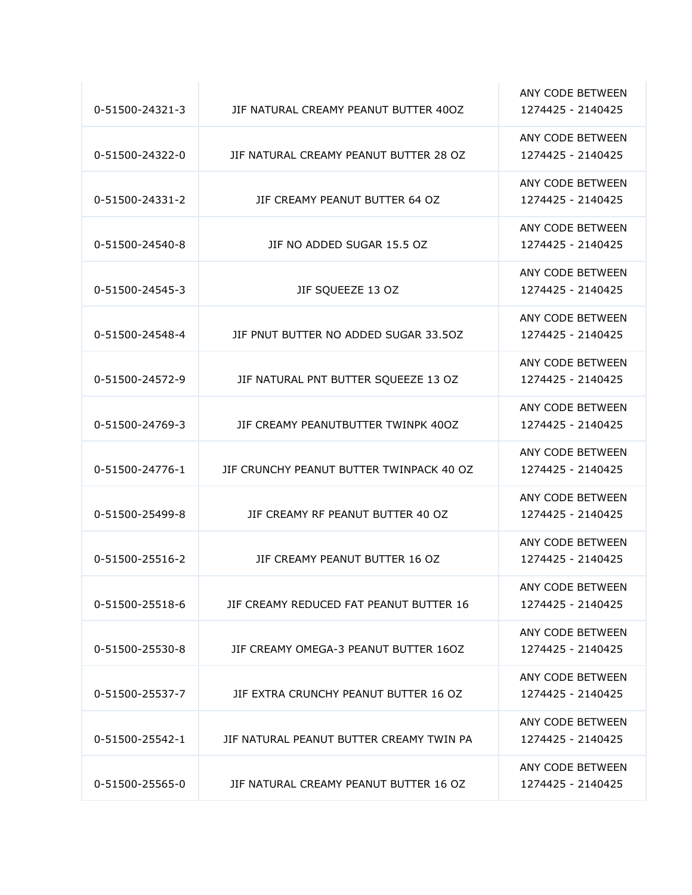| 0-51500-24321-3 | JIF NATURAL CREAMY PEANUT BUTTER 400Z    | ANY CODE BETWEEN<br>1274425 - 2140425 |
|-----------------|------------------------------------------|---------------------------------------|
| 0-51500-24322-0 | JIF NATURAL CREAMY PEANUT BUTTER 28 OZ   | ANY CODE BETWEEN<br>1274425 - 2140425 |
| 0-51500-24331-2 | JIF CREAMY PEANUT BUTTER 64 OZ           | ANY CODE BETWEEN<br>1274425 - 2140425 |
| 0-51500-24540-8 | JIF NO ADDED SUGAR 15.5 OZ               | ANY CODE BETWEEN<br>1274425 - 2140425 |
| 0-51500-24545-3 | JIF SQUEEZE 13 OZ                        | ANY CODE BETWEEN<br>1274425 - 2140425 |
| 0-51500-24548-4 | JIF PNUT BUTTER NO ADDED SUGAR 33.50Z    | ANY CODE BETWEEN<br>1274425 - 2140425 |
| 0-51500-24572-9 | JIF NATURAL PNT BUTTER SQUEEZE 13 OZ     | ANY CODE BETWEEN<br>1274425 - 2140425 |
| 0-51500-24769-3 | JIF CREAMY PEANUTBUTTER TWINPK 400Z      | ANY CODE BETWEEN<br>1274425 - 2140425 |
| 0-51500-24776-1 | JIF CRUNCHY PEANUT BUTTER TWINPACK 40 OZ | ANY CODE BETWEEN<br>1274425 - 2140425 |
| 0-51500-25499-8 | JIF CREAMY RF PEANUT BUTTER 40 OZ        | ANY CODE BETWEEN<br>1274425 - 2140425 |
| 0-51500-25516-2 | JIF CREAMY PEANUT BUTTER 16 OZ           | ANY CODE BETWEEN<br>1274425 - 2140425 |
| 0-51500-25518-6 | JIF CREAMY REDUCED FAT PEANUT BUTTER 16  | ANY CODE BETWEEN<br>1274425 - 2140425 |
| 0-51500-25530-8 | JIF CREAMY OMEGA-3 PEANUT BUTTER 16OZ    | ANY CODE BETWEEN<br>1274425 - 2140425 |
| 0-51500-25537-7 | JIF EXTRA CRUNCHY PEANUT BUTTER 16 OZ    | ANY CODE BETWEEN<br>1274425 - 2140425 |
| 0-51500-25542-1 | JIF NATURAL PEANUT BUTTER CREAMY TWIN PA | ANY CODE BETWEEN<br>1274425 - 2140425 |
| 0-51500-25565-0 | JIF NATURAL CREAMY PEANUT BUTTER 16 OZ   | ANY CODE BETWEEN<br>1274425 - 2140425 |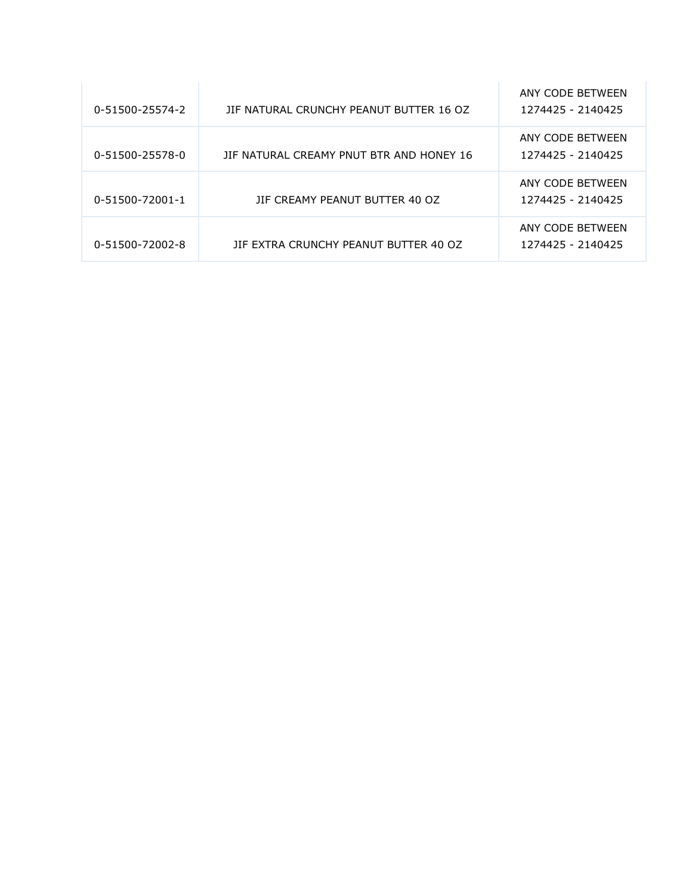| 0-51500-25574-2 | JIF NATURAL CRUNCHY PEANUT BUTTER 16 OZ  | ANY CODE BETWEEN<br>1274425 - 2140425 |
|-----------------|------------------------------------------|---------------------------------------|
| 0-51500-25578-0 | JIF NATURAL CREAMY PNUT BTR AND HONEY 16 | ANY CODE BETWEEN<br>1274425 - 2140425 |
| 0-51500-72001-1 | IF CREAMY PEANUT BUTTER 40 OZ            | ANY CODE BETWEEN<br>1274425 - 2140425 |
| 0-51500-72002-8 | THE EXTRA CRUNCHY PEANUT BUTTER 40 OZ    | ANY CODE BETWEEN<br>1274425 - 2140425 |